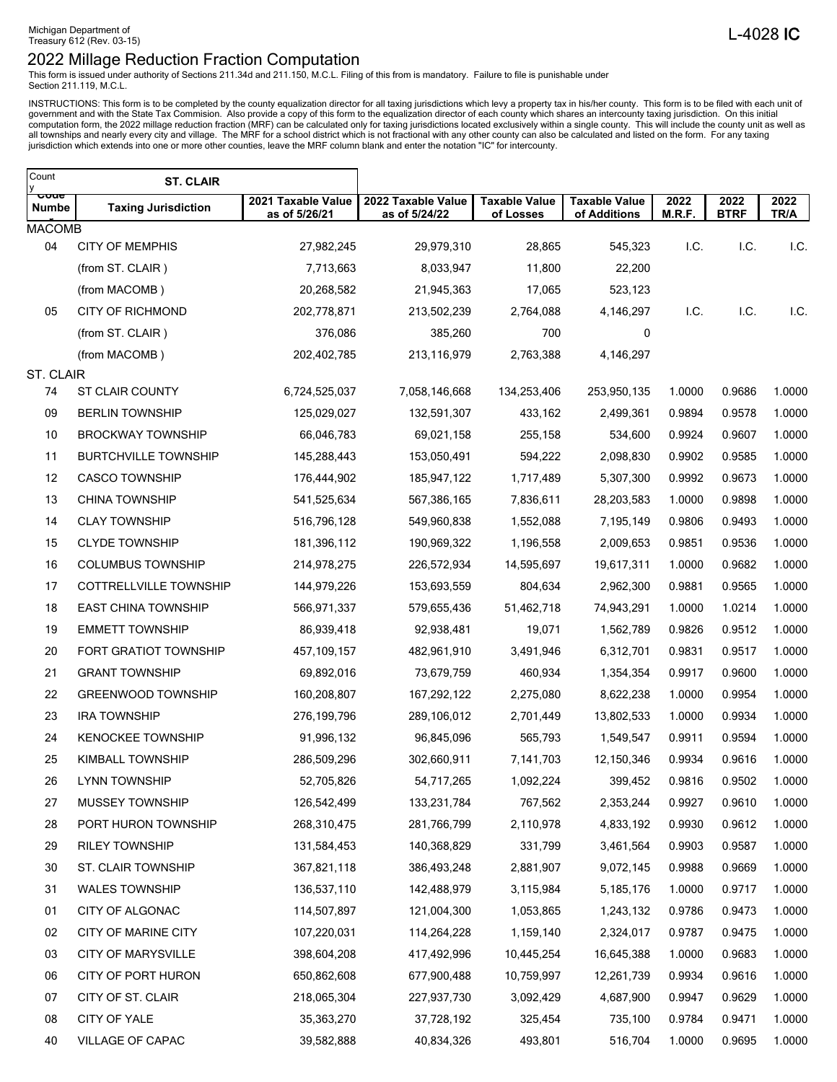This form is issued under authority of Sections 211.34d and 211.150, M.C.L. Filing of this from is mandatory. Failure to file is punishable under Section 211.119, M.C.L.

INSTRUCTIONS: This form is to be completed by the county equalization director for all taxing jurisdictions which levy a property tax in his/her county. This form is to be filed with each unit of government and with the St

| Count<br>у    | <b>ST. CLAIR</b>            |                                     |                                     |                                   |                                      |                |                     |              |
|---------------|-----------------------------|-------------------------------------|-------------------------------------|-----------------------------------|--------------------------------------|----------------|---------------------|--------------|
| ooue<br>Numbe | <b>Taxing Jurisdiction</b>  | 2021 Taxable Value<br>as of 5/26/21 | 2022 Taxable Value<br>as of 5/24/22 | <b>Taxable Value</b><br>of Losses | <b>Taxable Value</b><br>of Additions | 2022<br>M.R.F. | 2022<br><b>BTRF</b> | 2022<br>TR/A |
| <b>MACOMB</b> |                             |                                     |                                     |                                   |                                      |                |                     |              |
| 04            | <b>CITY OF MEMPHIS</b>      | 27,982,245                          | 29,979,310                          | 28,865                            | 545,323                              | I.C.           | I.C.                | I.C.         |
|               | (from ST. CLAIR)            | 7,713,663                           | 8,033,947                           | 11,800                            | 22,200                               |                |                     |              |
|               | (from MACOMB)               | 20,268,582                          | 21,945,363                          | 17,065                            | 523,123                              |                |                     |              |
| 05            | <b>CITY OF RICHMOND</b>     | 202,778,871                         | 213,502,239                         | 2,764,088                         | 4,146,297                            | I.C.           | I.C.                | I.C.         |
|               | (from ST. CLAIR)            | 376,086                             | 385,260                             | 700                               | 0                                    |                |                     |              |
|               | (from MACOMB)               | 202,402,785                         | 213,116,979                         | 2,763,388                         | 4,146,297                            |                |                     |              |
| ST. CLAIR     |                             |                                     |                                     |                                   |                                      |                |                     |              |
| 74            | <b>ST CLAIR COUNTY</b>      | 6,724,525,037                       | 7,058,146,668                       | 134,253,406                       | 253,950,135                          | 1.0000         | 0.9686              | 1.0000       |
| 09            | <b>BERLIN TOWNSHIP</b>      | 125,029,027                         | 132,591,307                         | 433,162                           | 2,499,361                            | 0.9894         | 0.9578              | 1.0000       |
| 10            | <b>BROCKWAY TOWNSHIP</b>    | 66,046,783                          | 69,021,158                          | 255,158                           | 534,600                              | 0.9924         | 0.9607              | 1.0000       |
| 11            | <b>BURTCHVILLE TOWNSHIP</b> | 145,288,443                         | 153,050,491                         | 594,222                           | 2,098,830                            | 0.9902         | 0.9585              | 1.0000       |
| 12            | <b>CASCO TOWNSHIP</b>       | 176,444,902                         | 185,947,122                         | 1,717,489                         | 5,307,300                            | 0.9992         | 0.9673              | 1.0000       |
| 13            | <b>CHINA TOWNSHIP</b>       | 541,525,634                         | 567,386,165                         | 7,836,611                         | 28,203,583                           | 1.0000         | 0.9898              | 1.0000       |
| 14            | <b>CLAY TOWNSHIP</b>        | 516,796,128                         | 549,960,838                         | 1,552,088                         | 7,195,149                            | 0.9806         | 0.9493              | 1.0000       |
| 15            | <b>CLYDE TOWNSHIP</b>       | 181,396,112                         | 190,969,322                         | 1,196,558                         | 2,009,653                            | 0.9851         | 0.9536              | 1.0000       |
| 16            | <b>COLUMBUS TOWNSHIP</b>    | 214,978,275                         | 226,572,934                         | 14,595,697                        | 19,617,311                           | 1.0000         | 0.9682              | 1.0000       |
| 17            | COTTRELLVILLE TOWNSHIP      | 144,979,226                         | 153,693,559                         | 804,634                           | 2,962,300                            | 0.9881         | 0.9565              | 1.0000       |
| 18            | <b>EAST CHINA TOWNSHIP</b>  | 566,971,337                         | 579,655,436                         | 51,462,718                        | 74,943,291                           | 1.0000         | 1.0214              | 1.0000       |
| 19            | <b>EMMETT TOWNSHIP</b>      | 86,939,418                          | 92,938,481                          | 19,071                            | 1,562,789                            | 0.9826         | 0.9512              | 1.0000       |
| 20            | FORT GRATIOT TOWNSHIP       | 457,109,157                         | 482,961,910                         | 3,491,946                         | 6,312,701                            | 0.9831         | 0.9517              | 1.0000       |
| 21            | <b>GRANT TOWNSHIP</b>       | 69,892,016                          | 73,679,759                          | 460,934                           | 1,354,354                            | 0.9917         | 0.9600              | 1.0000       |
| 22            | <b>GREENWOOD TOWNSHIP</b>   | 160,208,807                         | 167,292,122                         | 2,275,080                         | 8,622,238                            | 1.0000         | 0.9954              | 1.0000       |
| 23            | <b>IRA TOWNSHIP</b>         | 276,199,796                         | 289,106,012                         | 2,701,449                         | 13,802,533                           | 1.0000         | 0.9934              | 1.0000       |
| 24            | <b>KENOCKEE TOWNSHIP</b>    | 91,996,132                          | 96,845,096                          | 565,793                           | 1,549,547                            | 0.9911         | 0.9594              | 1.0000       |
| 25            | KIMBALL TOWNSHIP            | 286,509,296                         | 302,660,911                         | 7,141,703                         | 12,150,346                           | 0.9934         | 0.9616              | 1.0000       |
| 26            | <b>LYNN TOWNSHIP</b>        | 52,705,826                          | 54,717,265                          | 1,092,224                         | 399,452                              | 0.9816         | 0.9502              | 1.0000       |
| 27            | MUSSEY TOWNSHIP             | 126,542,499                         | 133,231,784                         | 767,562                           | 2,353,244                            | 0.9927         | 0.9610              | 1.0000       |
| 28            | PORT HURON TOWNSHIP         | 268,310,475                         | 281,766,799                         | 2,110,978                         | 4,833,192                            | 0.9930         | 0.9612              | 1.0000       |
| 29            | <b>RILEY TOWNSHIP</b>       | 131,584,453                         | 140,368,829                         | 331,799                           | 3,461,564                            | 0.9903         | 0.9587              | 1.0000       |
| 30            | ST. CLAIR TOWNSHIP          | 367,821,118                         | 386,493,248                         | 2,881,907                         | 9,072,145                            | 0.9988         | 0.9669              | 1.0000       |
| 31            | <b>WALES TOWNSHIP</b>       | 136,537,110                         | 142,488,979                         | 3,115,984                         | 5,185,176                            | 1.0000         | 0.9717              | 1.0000       |
| 01            | CITY OF ALGONAC             | 114,507,897                         | 121,004,300                         | 1,053,865                         | 1,243,132                            | 0.9786         | 0.9473              | 1.0000       |
| 02            | CITY OF MARINE CITY         | 107,220,031                         | 114,264,228                         | 1,159,140                         | 2,324,017                            | 0.9787         | 0.9475              | 1.0000       |
| 03            | <b>CITY OF MARYSVILLE</b>   | 398,604,208                         | 417,492,996                         | 10,445,254                        | 16,645,388                           | 1.0000         | 0.9683              | 1.0000       |
| 06            | CITY OF PORT HURON          | 650,862,608                         | 677,900,488                         | 10,759,997                        | 12,261,739                           | 0.9934         | 0.9616              | 1.0000       |
| 07            | CITY OF ST. CLAIR           | 218,065,304                         | 227,937,730                         | 3,092,429                         | 4,687,900                            | 0.9947         | 0.9629              | 1.0000       |
| 08            | CITY OF YALE                | 35,363,270                          | 37,728,192                          | 325,454                           | 735,100                              | 0.9784         | 0.9471              | 1.0000       |
| 40            | VILLAGE OF CAPAC            | 39,582,888                          | 40,834,326                          | 493,801                           | 516,704                              | 1.0000         | 0.9695              | 1.0000       |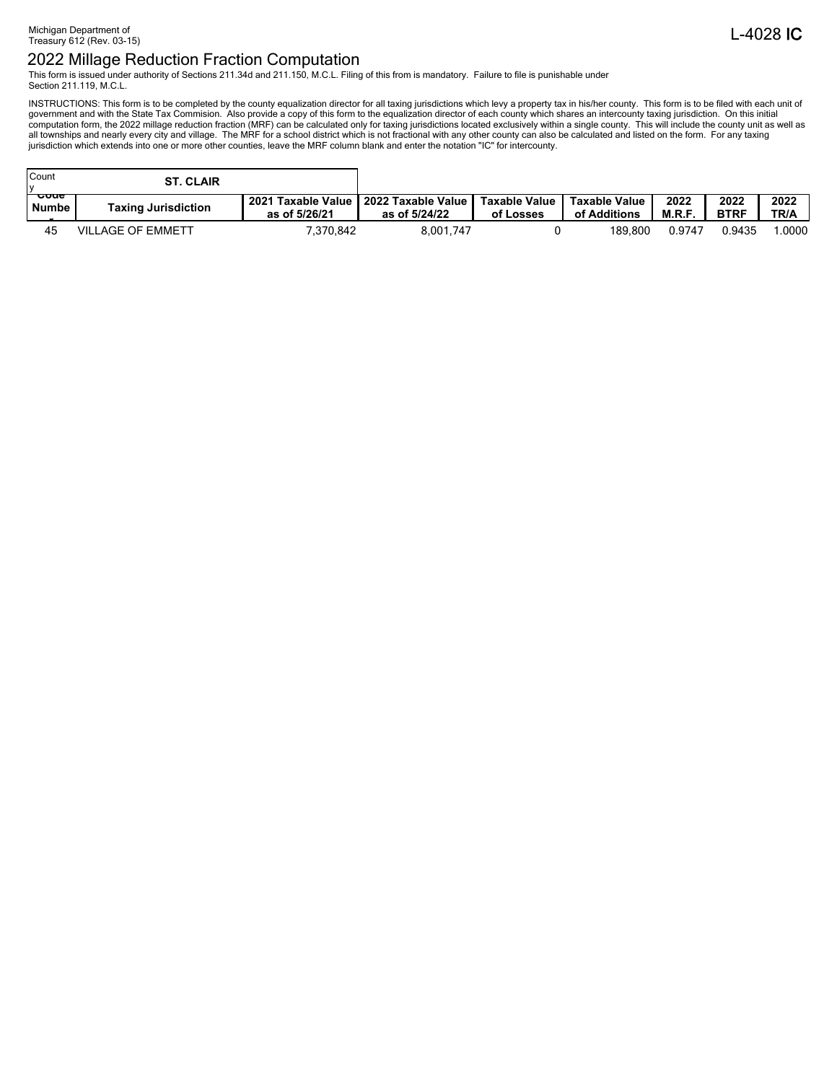This form is issued under authority of Sections 211.34d and 211.150, M.C.L. Filing of this from is mandatory. Failure to file is punishable under Section 211.119, M.C.L.

INSTRUCTIONS: This form is to be completed by the county equalization director for all taxing jurisdictions which levy a property tax in his/her county. This form is to be filed with each unit of government and with the St

| Count<br>$\mathbf{v}$           | <b>ST. CLAIR</b>           |                                               |                                                     |           |                               |               |                     |              |
|---------------------------------|----------------------------|-----------------------------------------------|-----------------------------------------------------|-----------|-------------------------------|---------------|---------------------|--------------|
| <del>ooue</del><br><b>Numbe</b> | <b>Taxing Jurisdiction</b> | <b>Taxable Value</b><br>2021<br>as of 5/26/21 | 2022 Taxable Value   Taxable Value<br>as of 5/24/22 | of Losses | Taxable Value<br>of Additions | 2022<br>M.R.F | 2022<br><b>BTRF</b> | 2022<br>TR/A |
| 45                              | <b>VILLAGE OF EMMETT</b>   | 7,370,842                                     | 8.001.747                                           |           | 189.800                       | 0.9747        | ባ.9435              | .0000        |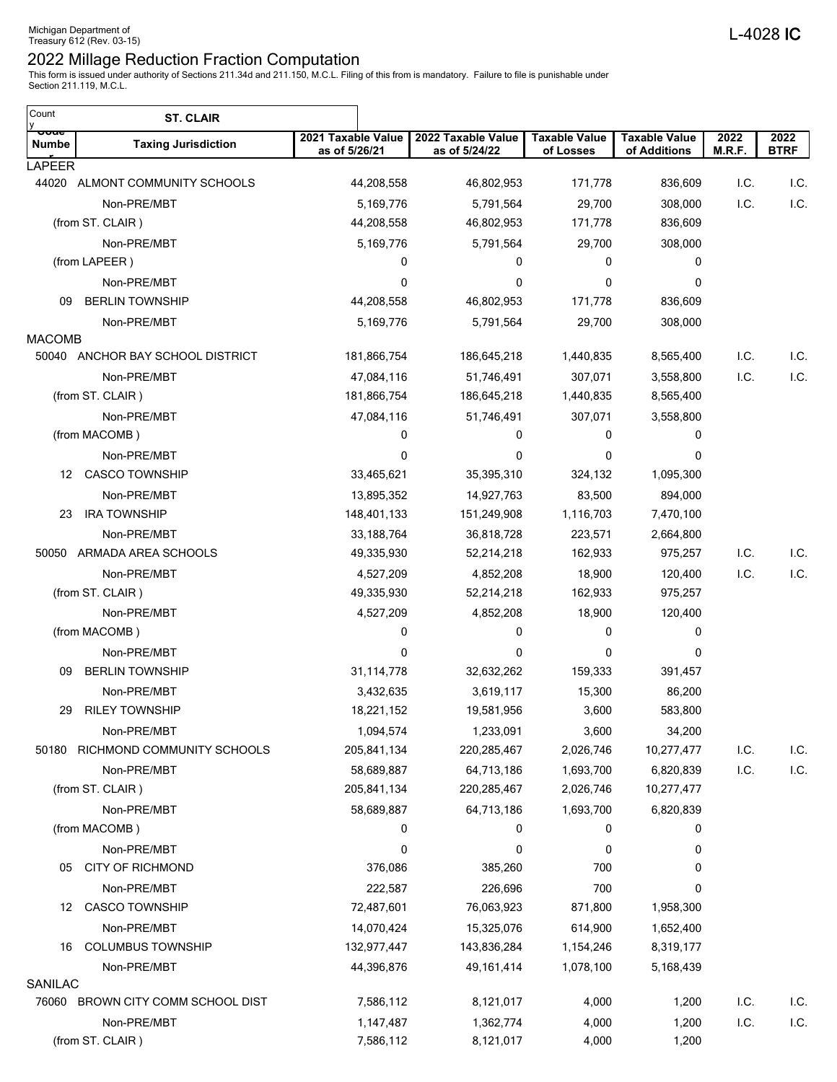This form is issued under authority of Sections 211.34d and 211.150, M.C.L. Filing of this from is mandatory. Failure to file is punishable under Section 211.119, M.C.L.

| Count                    | <b>ST. CLAIR</b>                  |                                     |                                     |                                   |                                      |                |                     |
|--------------------------|-----------------------------------|-------------------------------------|-------------------------------------|-----------------------------------|--------------------------------------|----------------|---------------------|
| <del>ooue</del><br>Numbe | <b>Taxing Jurisdiction</b>        | 2021 Taxable Value<br>as of 5/26/21 | 2022 Taxable Value<br>as of 5/24/22 | <b>Taxable Value</b><br>of Losses | <b>Taxable Value</b><br>of Additions | 2022<br>M.R.F. | 2022<br><b>BTRF</b> |
| <b>LAPEER</b>            |                                   |                                     |                                     |                                   |                                      |                |                     |
|                          | 44020 ALMONT COMMUNITY SCHOOLS    | 44,208,558                          | 46,802,953                          | 171,778                           | 836,609                              | I.C.           | I.C.                |
|                          | Non-PRE/MBT                       | 5,169,776                           | 5,791,564                           | 29,700                            | 308,000                              | I.C.           | I.C.                |
|                          | (from ST. CLAIR)                  | 44,208,558                          | 46,802,953                          | 171,778                           | 836,609                              |                |                     |
|                          | Non-PRE/MBT                       | 5,169,776                           | 5,791,564                           | 29,700                            | 308,000                              |                |                     |
|                          | (from LAPEER)                     | 0                                   | 0                                   | 0                                 | 0                                    |                |                     |
|                          | Non-PRE/MBT                       | $\mathbf 0$                         | 0                                   | 0                                 | 0                                    |                |                     |
| 09                       | <b>BERLIN TOWNSHIP</b>            | 44,208,558                          | 46,802,953                          | 171,778                           | 836,609                              |                |                     |
| <b>MACOMB</b>            | Non-PRE/MBT                       | 5,169,776                           | 5,791,564                           | 29,700                            | 308,000                              |                |                     |
|                          | 50040 ANCHOR BAY SCHOOL DISTRICT  | 181,866,754                         | 186,645,218                         | 1,440,835                         | 8,565,400                            | I.C.           | I.C.                |
|                          | Non-PRE/MBT                       | 47,084,116                          | 51,746,491                          | 307,071                           | 3,558,800                            | I.C.           | I.C.                |
|                          | (from ST. CLAIR)                  | 181,866,754                         | 186,645,218                         | 1,440,835                         | 8,565,400                            |                |                     |
|                          | Non-PRE/MBT                       | 47,084,116                          | 51,746,491                          | 307,071                           | 3,558,800                            |                |                     |
|                          | (from MACOMB)                     | 0                                   | 0                                   | 0                                 | 0                                    |                |                     |
|                          | Non-PRE/MBT                       | 0                                   | 0                                   | 0                                 | 0                                    |                |                     |
|                          | 12 CASCO TOWNSHIP                 | 33,465,621                          | 35,395,310                          | 324,132                           | 1,095,300                            |                |                     |
|                          | Non-PRE/MBT                       |                                     | 14,927,763                          |                                   |                                      |                |                     |
| 23                       | <b>IRA TOWNSHIP</b>               | 13,895,352<br>148,401,133           |                                     | 83,500<br>1,116,703               | 894,000<br>7,470,100                 |                |                     |
|                          |                                   |                                     | 151,249,908                         |                                   |                                      |                |                     |
|                          | Non-PRE/MBT                       | 33, 188, 764                        | 36,818,728                          | 223,571                           | 2,664,800                            |                |                     |
|                          | 50050 ARMADA AREA SCHOOLS         | 49,335,930                          | 52,214,218                          | 162,933                           | 975,257                              | I.C.           | I.C.                |
|                          | Non-PRE/MBT                       | 4,527,209                           | 4,852,208                           | 18,900                            | 120,400                              | I.C.           | I.C.                |
|                          | (from ST. CLAIR)                  | 49,335,930                          | 52,214,218                          | 162,933                           | 975,257                              |                |                     |
|                          | Non-PRE/MBT                       | 4,527,209                           | 4,852,208                           | 18,900                            | 120,400                              |                |                     |
|                          | (from MACOMB)                     | 0                                   | 0                                   | 0                                 | 0                                    |                |                     |
|                          | Non-PRE/MBT                       | 0                                   | 0                                   | 0                                 | 0                                    |                |                     |
| 09                       | <b>BERLIN TOWNSHIP</b>            | 31,114,778                          | 32,632,262                          | 159,333                           | 391,457                              |                |                     |
|                          | Non-PRE/MBT                       | 3,432,635                           | 3,619,117                           | 15,300                            | 86,200                               |                |                     |
| 29                       | <b>RILEY TOWNSHIP</b>             | 18,221,152                          | 19,581,956                          | 3,600                             | 583,800                              |                |                     |
|                          | Non-PRE/MBT                       | 1,094,574                           | 1,233,091                           | 3,600                             | 34,200                               |                |                     |
|                          | 50180 RICHMOND COMMUNITY SCHOOLS  | 205,841,134                         | 220,285,467                         | 2,026,746                         | 10,277,477                           | I.C.           | I.C.                |
|                          | Non-PRE/MBT                       | 58,689,887                          | 64,713,186                          | 1,693,700                         | 6,820,839                            | I.C.           | I.C.                |
|                          | (from ST. CLAIR)                  | 205,841,134                         | 220,285,467                         | 2,026,746                         | 10,277,477                           |                |                     |
|                          | Non-PRE/MBT                       | 58,689,887                          | 64,713,186                          | 1,693,700                         | 6,820,839                            |                |                     |
|                          | (from MACOMB)                     | 0                                   | 0                                   | 0                                 | 0                                    |                |                     |
|                          | Non-PRE/MBT                       | 0                                   | 0                                   | 0                                 | 0                                    |                |                     |
| 05                       | <b>CITY OF RICHMOND</b>           | 376,086                             | 385,260                             | 700                               | 0                                    |                |                     |
|                          | Non-PRE/MBT                       | 222,587                             | 226,696                             | 700                               | 0                                    |                |                     |
| 12                       | <b>CASCO TOWNSHIP</b>             | 72,487,601                          | 76,063,923                          | 871,800                           | 1,958,300                            |                |                     |
|                          | Non-PRE/MBT                       | 14,070,424                          | 15,325,076                          | 614,900                           | 1,652,400                            |                |                     |
| 16                       | <b>COLUMBUS TOWNSHIP</b>          | 132,977,447                         | 143,836,284                         | 1,154,246                         | 8,319,177                            |                |                     |
|                          | Non-PRE/MBT                       | 44,396,876                          | 49, 161, 414                        | 1,078,100                         | 5,168,439                            |                |                     |
| SANILAC                  |                                   |                                     |                                     |                                   |                                      |                |                     |
|                          | 76060 BROWN CITY COMM SCHOOL DIST | 7,586,112                           | 8,121,017                           | 4,000                             | 1,200                                | I.C.           | I.C.                |
|                          | Non-PRE/MBT                       | 1,147,487                           | 1,362,774                           | 4,000                             | 1,200                                | I.C.           | I.C.                |
|                          | (from ST. CLAIR)                  | 7,586,112                           | 8,121,017                           | 4,000                             | 1,200                                |                |                     |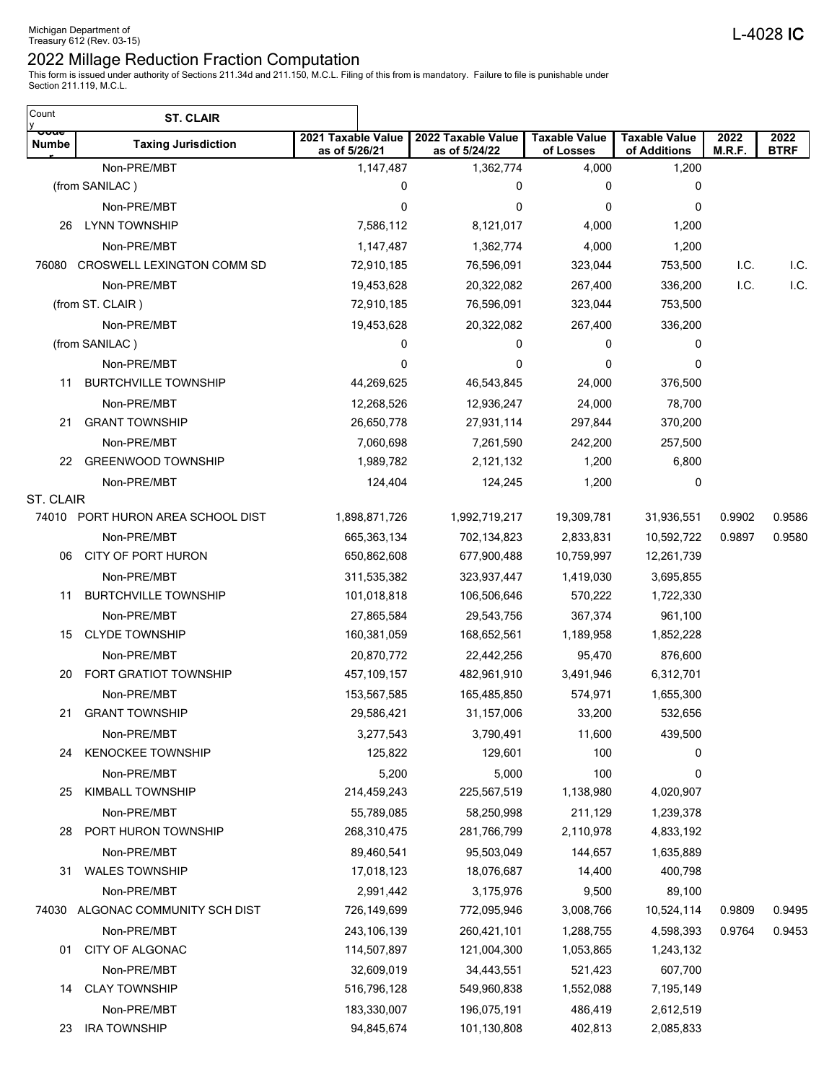| Count<br>y                      | <b>ST. CLAIR</b>                  |                                     |                                     |                                   |                                      |                |                     |
|---------------------------------|-----------------------------------|-------------------------------------|-------------------------------------|-----------------------------------|--------------------------------------|----------------|---------------------|
| <del>ooue</del><br><b>Numbe</b> | <b>Taxing Jurisdiction</b>        | 2021 Taxable Value<br>as of 5/26/21 | 2022 Taxable Value<br>as of 5/24/22 | <b>Taxable Value</b><br>of Losses | <b>Taxable Value</b><br>of Additions | 2022<br>M.R.F. | 2022<br><b>BTRF</b> |
|                                 | Non-PRE/MBT                       | 1,147,487                           | 1,362,774                           | 4,000                             | 1,200                                |                |                     |
|                                 | (from SANILAC)                    | 0                                   | 0                                   | 0                                 | 0                                    |                |                     |
|                                 | Non-PRE/MBT                       | 0                                   | 0                                   | 0                                 | $\mathbf 0$                          |                |                     |
| 26                              | <b>LYNN TOWNSHIP</b>              | 7,586,112                           | 8,121,017                           | 4,000                             | 1,200                                |                |                     |
|                                 | Non-PRE/MBT                       | 1,147,487                           | 1,362,774                           | 4,000                             | 1,200                                |                |                     |
| 76080                           | CROSWELL LEXINGTON COMM SD        | 72,910,185                          | 76,596,091                          | 323,044                           | 753,500                              | I.C.           | I.C.                |
|                                 | Non-PRE/MBT                       | 19,453,628                          | 20,322,082                          | 267,400                           | 336,200                              | I.C.           | I.C.                |
|                                 | (from ST. CLAIR)                  | 72,910,185                          | 76,596,091                          | 323,044                           | 753,500                              |                |                     |
|                                 | Non-PRE/MBT                       | 19,453,628                          | 20,322,082                          | 267,400                           | 336,200                              |                |                     |
|                                 | (from SANILAC)                    | 0                                   | 0                                   | 0                                 | 0                                    |                |                     |
|                                 | Non-PRE/MBT                       | 0                                   | 0                                   | 0                                 | 0                                    |                |                     |
| 11                              | <b>BURTCHVILLE TOWNSHIP</b>       | 44,269,625                          | 46,543,845                          | 24,000                            | 376,500                              |                |                     |
|                                 | Non-PRE/MBT                       | 12,268,526                          | 12,936,247                          | 24,000                            | 78,700                               |                |                     |
| 21                              | <b>GRANT TOWNSHIP</b>             | 26,650,778                          | 27,931,114                          | 297,844                           | 370,200                              |                |                     |
|                                 | Non-PRE/MBT                       | 7,060,698                           | 7,261,590                           | 242,200                           | 257,500                              |                |                     |
| 22                              | <b>GREENWOOD TOWNSHIP</b>         | 1,989,782                           | 2,121,132                           | 1,200                             | 6,800                                |                |                     |
|                                 | Non-PRE/MBT                       | 124,404                             | 124,245                             | 1,200                             | 0                                    |                |                     |
| ST. CLAIR                       |                                   |                                     |                                     |                                   |                                      |                |                     |
|                                 | 74010 PORT HURON AREA SCHOOL DIST | 1,898,871,726                       | 1,992,719,217                       | 19,309,781                        | 31,936,551                           | 0.9902         | 0.9586              |
|                                 | Non-PRE/MBT                       | 665, 363, 134                       | 702,134,823                         | 2,833,831                         | 10,592,722                           | 0.9897         | 0.9580              |
| 06                              | CITY OF PORT HURON                | 650,862,608                         | 677,900,488                         | 10,759,997                        | 12,261,739                           |                |                     |
|                                 | Non-PRE/MBT                       | 311,535,382                         | 323,937,447                         | 1,419,030                         | 3,695,855                            |                |                     |
| 11                              | <b>BURTCHVILLE TOWNSHIP</b>       | 101,018,818                         | 106,506,646                         | 570,222                           | 1,722,330                            |                |                     |
|                                 | Non-PRE/MBT                       | 27,865,584                          | 29,543,756                          | 367,374                           | 961,100                              |                |                     |
| 15                              | <b>CLYDE TOWNSHIP</b>             | 160,381,059                         | 168,652,561                         | 1,189,958                         | 1,852,228                            |                |                     |
|                                 | Non-PRE/MBT                       | 20,870,772                          | 22,442,256                          | 95,470                            | 876,600                              |                |                     |
| 20                              | FORT GRATIOT TOWNSHIP             | 457,109,157                         | 482,961,910                         | 3,491,946                         | 6,312,701                            |                |                     |
|                                 | Non-PRE/MBT                       | 153,567,585                         | 165,485,850                         | 574,971                           | 1,655,300                            |                |                     |
|                                 | 21 GRANT TOWNSHIP                 | 29,586,421                          | 31,157,006                          | 33,200                            | 532,656                              |                |                     |
|                                 | Non-PRE/MBT                       | 3,277,543                           | 3,790,491                           | 11,600                            | 439,500                              |                |                     |
| 24                              | <b>KENOCKEE TOWNSHIP</b>          | 125,822                             | 129,601                             | 100                               | 0                                    |                |                     |
|                                 | Non-PRE/MBT                       | 5,200                               | 5,000                               | 100                               | 0                                    |                |                     |
| 25                              | <b>KIMBALL TOWNSHIP</b>           | 214,459,243                         | 225,567,519                         | 1,138,980                         | 4,020,907                            |                |                     |
|                                 | Non-PRE/MBT                       | 55,789,085                          | 58,250,998                          | 211,129                           | 1,239,378                            |                |                     |
| 28                              | PORT HURON TOWNSHIP               | 268,310,475                         | 281,766,799                         | 2,110,978                         | 4,833,192                            |                |                     |
|                                 | Non-PRE/MBT                       | 89.460.541                          | 95,503,049                          | 144,657                           | 1,635,889                            |                |                     |
| 31                              | <b>WALES TOWNSHIP</b>             | 17,018,123                          | 18,076,687                          | 14,400                            | 400,798                              |                |                     |
|                                 | Non-PRE/MBT                       | 2,991,442                           | 3,175,976                           | 9,500                             | 89,100                               |                |                     |
|                                 | 74030 ALGONAC COMMUNITY SCH DIST  | 726,149,699                         | 772,095,946                         | 3,008,766                         | 10,524,114                           | 0.9809         | 0.9495              |
|                                 | Non-PRE/MBT                       | 243,106,139                         | 260,421,101                         | 1,288,755                         | 4,598,393                            | 0.9764         | 0.9453              |
| 01                              | <b>CITY OF ALGONAC</b>            | 114,507,897                         | 121,004,300                         | 1,053,865                         | 1,243,132                            |                |                     |
|                                 | Non-PRE/MBT                       | 32,609,019                          | 34,443,551                          | 521,423                           | 607,700                              |                |                     |
| 14                              | <b>CLAY TOWNSHIP</b>              | 516,796,128                         | 549,960,838                         | 1,552,088                         | 7,195,149                            |                |                     |
|                                 | Non-PRE/MBT                       | 183,330,007                         | 196,075,191                         | 486,419                           | 2,612,519                            |                |                     |
| 23                              | <b>IRA TOWNSHIP</b>               | 94,845,674                          | 101,130,808                         | 402,813                           | 2,085,833                            |                |                     |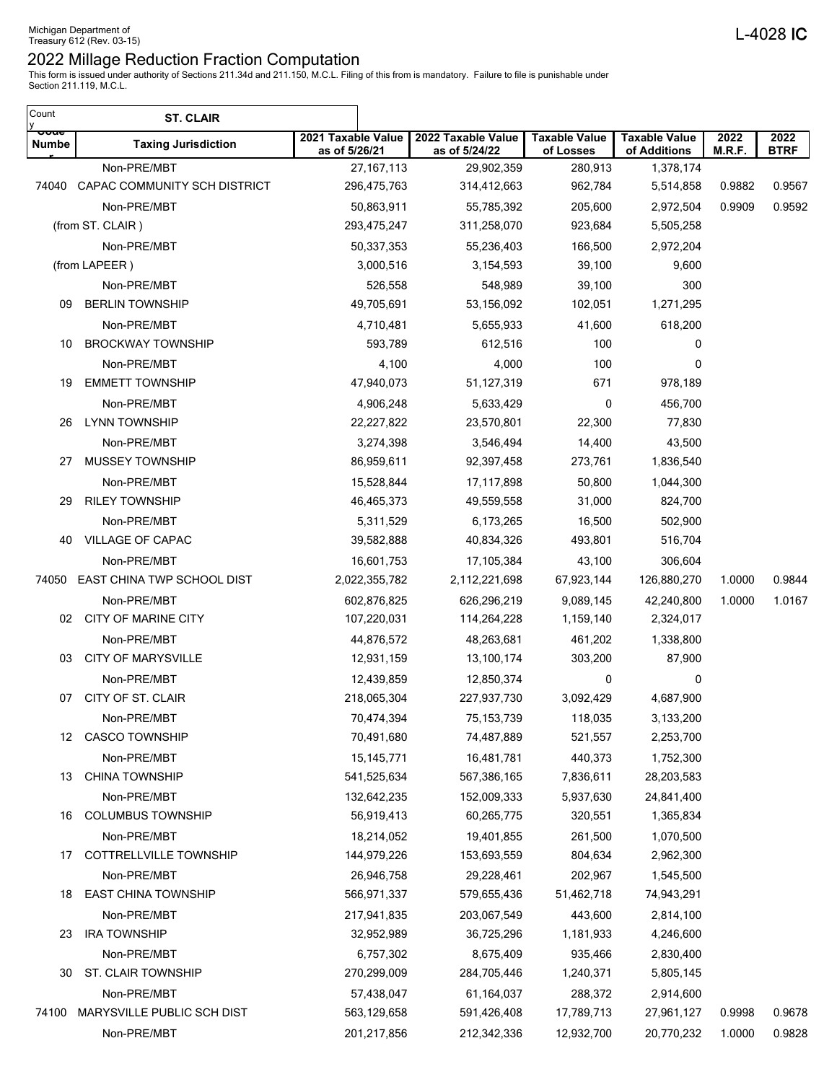| Count<br>y                      | <b>ST. CLAIR</b>                     |                                     |                                     |                                   |                                      |                |                     |
|---------------------------------|--------------------------------------|-------------------------------------|-------------------------------------|-----------------------------------|--------------------------------------|----------------|---------------------|
| <del>ooue</del><br><b>Numbe</b> | <b>Taxing Jurisdiction</b>           | 2021 Taxable Value<br>as of 5/26/21 | 2022 Taxable Value<br>as of 5/24/22 | <b>Taxable Value</b><br>of Losses | <b>Taxable Value</b><br>of Additions | 2022<br>M.R.F. | 2022<br><b>BTRF</b> |
|                                 | Non-PRE/MBT                          | 27, 167, 113                        | 29,902,359                          | 280,913                           | 1,378,174                            |                |                     |
| 74040                           | CAPAC COMMUNITY SCH DISTRICT         | 296,475,763                         | 314,412,663                         | 962,784                           | 5,514,858                            | 0.9882         | 0.9567              |
|                                 | Non-PRE/MBT                          | 50,863,911                          | 55,785,392                          | 205,600                           | 2,972,504                            | 0.9909         | 0.9592              |
|                                 | (from ST. CLAIR)                     | 293,475,247                         | 311,258,070                         | 923,684                           | 5,505,258                            |                |                     |
|                                 | Non-PRE/MBT                          | 50,337,353                          | 55,236,403                          | 166,500                           | 2,972,204                            |                |                     |
|                                 | (from LAPEER)                        | 3,000,516                           | 3,154,593                           | 39,100                            | 9,600                                |                |                     |
|                                 | Non-PRE/MBT                          | 526,558                             | 548,989                             | 39,100                            | 300                                  |                |                     |
| 09                              | <b>BERLIN TOWNSHIP</b>               | 49,705,691                          | 53,156,092                          | 102,051                           | 1,271,295                            |                |                     |
|                                 | Non-PRE/MBT                          | 4,710,481                           | 5,655,933                           | 41,600                            | 618,200                              |                |                     |
| 10                              | <b>BROCKWAY TOWNSHIP</b>             | 593,789                             | 612,516                             | 100                               | 0                                    |                |                     |
|                                 | Non-PRE/MBT                          | 4,100                               | 4,000                               | 100                               | 0                                    |                |                     |
| 19                              | <b>EMMETT TOWNSHIP</b>               | 47,940,073                          | 51,127,319                          | 671                               | 978,189                              |                |                     |
|                                 | Non-PRE/MBT                          | 4,906,248                           | 5,633,429                           | 0                                 | 456,700                              |                |                     |
| 26                              | <b>LYNN TOWNSHIP</b>                 | 22,227,822                          | 23,570,801                          | 22,300                            | 77,830                               |                |                     |
| 27                              | Non-PRE/MBT<br>MUSSEY TOWNSHIP       | 3,274,398<br>86,959,611             | 3,546,494                           | 14,400<br>273,761                 | 43,500                               |                |                     |
|                                 |                                      |                                     | 92,397,458                          |                                   | 1,836,540                            |                |                     |
| 29                              | Non-PRE/MBT<br><b>RILEY TOWNSHIP</b> | 15,528,844<br>46,465,373            | 17,117,898<br>49,559,558            | 50,800<br>31,000                  | 1,044,300<br>824,700                 |                |                     |
|                                 | Non-PRE/MBT                          | 5,311,529                           | 6,173,265                           | 16,500                            | 502,900                              |                |                     |
| 40                              | VILLAGE OF CAPAC                     | 39,582,888                          | 40,834,326                          | 493,801                           | 516,704                              |                |                     |
|                                 | Non-PRE/MBT                          | 16,601,753                          | 17,105,384                          | 43,100                            | 306,604                              |                |                     |
| 74050                           | EAST CHINA TWP SCHOOL DIST           | 2,022,355,782                       | 2,112,221,698                       | 67,923,144                        | 126,880,270                          | 1.0000         | 0.9844              |
|                                 | Non-PRE/MBT                          | 602,876,825                         | 626,296,219                         | 9,089,145                         | 42,240,800                           | 1.0000         | 1.0167              |
|                                 | 02 CITY OF MARINE CITY               | 107,220,031                         | 114,264,228                         | 1,159,140                         | 2,324,017                            |                |                     |
|                                 | Non-PRE/MBT                          | 44,876,572                          | 48,263,681                          | 461,202                           | 1,338,800                            |                |                     |
| 03                              | <b>CITY OF MARYSVILLE</b>            | 12,931,159                          | 13,100,174                          | 303,200                           | 87,900                               |                |                     |
|                                 | Non-PRE/MBT                          | 12,439,859                          | 12,850,374                          | 0                                 | 0                                    |                |                     |
| 07                              | CITY OF ST. CLAIR                    | 218,065,304                         | 227,937,730                         | 3,092,429                         | 4,687,900                            |                |                     |
|                                 | Non-PRE/MBT                          | 70,474,394                          | 75, 153, 739                        | 118,035                           | 3,133,200                            |                |                     |
| 12                              | <b>CASCO TOWNSHIP</b>                | 70,491,680                          | 74,487,889                          | 521,557                           | 2,253,700                            |                |                     |
|                                 | Non-PRE/MBT                          | 15, 145, 771                        | 16,481,781                          | 440,373                           | 1,752,300                            |                |                     |
| 13                              | <b>CHINA TOWNSHIP</b>                | 541,525,634                         | 567,386,165                         | 7,836,611                         | 28,203,583                           |                |                     |
|                                 | Non-PRE/MBT                          | 132,642,235                         | 152,009,333                         | 5,937,630                         | 24,841,400                           |                |                     |
| 16                              | <b>COLUMBUS TOWNSHIP</b>             | 56,919,413                          | 60,265,775                          | 320,551                           | 1,365,834                            |                |                     |
|                                 | Non-PRE/MBT                          | 18,214,052                          | 19,401,855                          | 261,500                           | 1,070,500                            |                |                     |
| 17                              | COTTRELLVILLE TOWNSHIP               | 144,979,226                         | 153,693,559                         | 804,634                           | 2,962,300                            |                |                     |
|                                 | Non-PRE/MBT                          | 26,946,758                          | 29,228,461                          | 202,967                           | 1,545,500                            |                |                     |
| 18                              | <b>EAST CHINA TOWNSHIP</b>           | 566,971,337                         | 579,655,436                         | 51,462,718                        | 74,943,291                           |                |                     |
|                                 | Non-PRE/MBT                          | 217,941,835                         | 203,067,549                         | 443,600                           | 2,814,100                            |                |                     |
| 23                              | <b>IRA TOWNSHIP</b>                  | 32,952,989                          | 36,725,296                          | 1,181,933                         | 4,246,600                            |                |                     |
|                                 | Non-PRE/MBT                          | 6,757,302                           | 8,675,409                           | 935,466                           | 2,830,400                            |                |                     |
| 30                              | ST. CLAIR TOWNSHIP                   | 270,299,009                         | 284,705,446                         | 1,240,371                         | 5,805,145                            |                |                     |
|                                 | Non-PRE/MBT                          | 57,438,047                          | 61,164,037                          | 288,372                           | 2,914,600                            |                |                     |
| 74100                           | MARYSVILLE PUBLIC SCH DIST           | 563,129,658                         | 591,426,408                         | 17,789,713                        | 27,961,127                           | 0.9998         | 0.9678              |
|                                 | Non-PRE/MBT                          | 201,217,856                         | 212,342,336                         | 12,932,700                        | 20,770,232                           | 1.0000         | 0.9828              |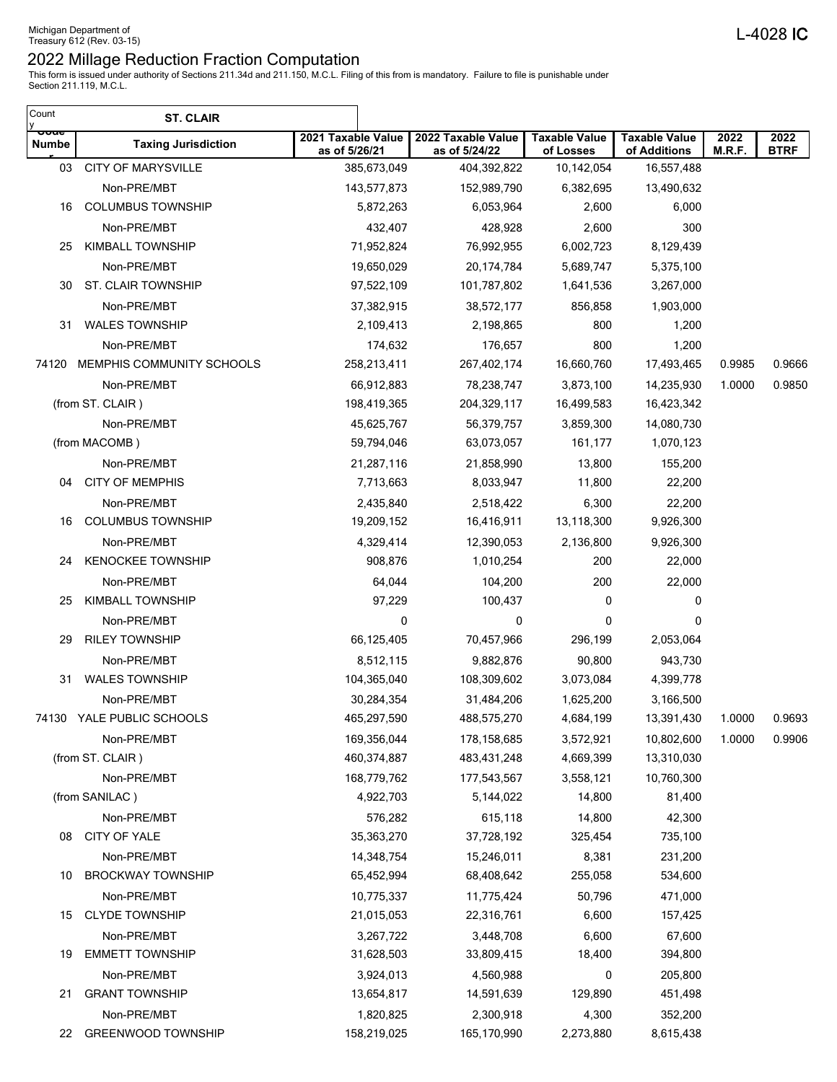| <del>ooue</del><br>2021 Taxable Value<br>2022 Taxable Value<br><b>Taxable Value</b><br><b>Taxable Value</b><br>2022<br>2022<br><b>Numbe</b><br><b>Taxing Jurisdiction</b><br>M.R.F.<br><b>BTRF</b><br>as of 5/26/21<br>as of 5/24/22<br>of Losses<br>of Additions<br><b>CITY OF MARYSVILLE</b><br>385,673,049<br>10,142,054<br>03<br>404,392,822<br>16,557,488<br>Non-PRE/MBT<br>143,577,873<br>152,989,790<br>6,382,695<br>13,490,632<br><b>COLUMBUS TOWNSHIP</b><br>5,872,263<br>6,053,964<br>2,600<br>6,000<br>16<br>432,407<br>2,600<br>300<br>Non-PRE/MBT<br>428,928<br><b>KIMBALL TOWNSHIP</b><br>71,952,824<br>76,992,955<br>6,002,723<br>8,129,439<br>25<br>Non-PRE/MBT<br>19,650,029<br>20,174,784<br>5,689,747<br>5,375,100<br>ST. CLAIR TOWNSHIP<br>97,522,109<br>101,787,802<br>1,641,536<br>3,267,000<br>30<br>Non-PRE/MBT<br>37,382,915<br>38,572,177<br>856,858<br>1,903,000<br><b>WALES TOWNSHIP</b><br>800<br>2,109,413<br>2,198,865<br>1,200<br>31<br>Non-PRE/MBT<br>174,632<br>800<br>176,657<br>1,200<br>MEMPHIS COMMUNITY SCHOOLS<br>16,660,760<br>0.9985<br>258,213,411<br>267,402,174<br>17,493,465<br>74120<br>66,912,883<br>3,873,100<br>14,235,930<br>1.0000<br>Non-PRE/MBT<br>78,238,747<br>(from ST. CLAIR)<br>198,419,365<br>204,329,117<br>16,499,583<br>16,423,342<br>Non-PRE/MBT<br>14,080,730<br>45,625,767<br>56,379,757<br>3,859,300<br>63,073,057<br>161,177<br>1,070,123<br>(from MACOMB)<br>59,794,046<br>155,200<br>Non-PRE/MBT<br>21,287,116<br>21,858,990<br>13,800<br><b>CITY OF MEMPHIS</b><br>11,800<br>22,200<br>7,713,663<br>8,033,947<br>04<br>Non-PRE/MBT<br>2,435,840<br>2,518,422<br>6,300<br>22,200<br><b>COLUMBUS TOWNSHIP</b><br>19,209,152<br>16,416,911<br>13,118,300<br>9,926,300<br>16<br>Non-PRE/MBT<br>4,329,414<br>2,136,800<br>9,926,300<br>12,390,053<br><b>KENOCKEE TOWNSHIP</b><br>908,876<br>200<br>1,010,254<br>22,000<br>24<br>Non-PRE/MBT<br>64,044<br>104,200<br>200<br>22,000<br><b>KIMBALL TOWNSHIP</b><br>97,229<br>100,437<br>0<br>0<br>25<br>0<br>0<br>0<br>Non-PRE/MBT<br>0<br><b>RILEY TOWNSHIP</b><br>66,125,405<br>70,457,966<br>2,053,064<br>296,199<br>29<br>Non-PRE/MBT<br>90,800<br>943,730<br>8,512,115<br>9,882,876<br><b>WALES TOWNSHIP</b><br>104,365,040<br>31<br>108,309,602<br>3,073,084<br>4,399,778<br>Non-PRE/MBT<br>30,284,354<br>31,484,206<br>1,625,200<br>3,166,500<br>74130 YALE PUBLIC SCHOOLS<br>465,297,590<br>488,575,270<br>4,684,199<br>13,391,430<br>1.0000<br>Non-PRE/MBT<br>169,356,044<br>178,158,685<br>3,572,921<br>10,802,600<br>1.0000<br>(from ST. CLAIR)<br>460,374,887<br>483,431,248<br>4,669,399<br>13,310,030<br>Non-PRE/MBT<br>168,779,762<br>177,543,567<br>3,558,121<br>10,760,300<br>14,800<br>81,400<br>(from SANILAC)<br>4,922,703<br>5,144,022<br>Non-PRE/MBT<br>576,282<br>615,118<br>14,800<br>42,300<br>CITY OF YALE<br>35,363,270<br>37,728,192<br>735,100<br>325,454<br>08<br>Non-PRE/MBT<br>14,348,754<br>15,246,011<br>8,381<br>231,200<br><b>BROCKWAY TOWNSHIP</b><br>255,058<br>65,452,994<br>68,408,642<br>534,600<br>10<br>Non-PRE/MBT<br>10,775,337<br>11,775,424<br>50,796<br>471,000<br><b>CLYDE TOWNSHIP</b><br>21,015,053<br>22,316,761<br>6,600<br>157,425<br>15<br>6,600<br>67,600<br>Non-PRE/MBT<br>3,267,722<br>3,448,708<br><b>EMMETT TOWNSHIP</b><br>31,628,503<br>33,809,415<br>18,400<br>394,800<br>19<br>Non-PRE/MBT<br>4,560,988<br>205,800<br>3,924,013<br>0<br><b>GRANT TOWNSHIP</b><br>129,890<br>13,654,817<br>14,591,639<br>451,498<br>21<br>Non-PRE/MBT<br>1,820,825<br>2,300,918<br>4,300<br>352,200<br>22 | Count<br>у | <b>ST. CLAIR</b>   |             |             |           |           |  |
|-------------------------------------------------------------------------------------------------------------------------------------------------------------------------------------------------------------------------------------------------------------------------------------------------------------------------------------------------------------------------------------------------------------------------------------------------------------------------------------------------------------------------------------------------------------------------------------------------------------------------------------------------------------------------------------------------------------------------------------------------------------------------------------------------------------------------------------------------------------------------------------------------------------------------------------------------------------------------------------------------------------------------------------------------------------------------------------------------------------------------------------------------------------------------------------------------------------------------------------------------------------------------------------------------------------------------------------------------------------------------------------------------------------------------------------------------------------------------------------------------------------------------------------------------------------------------------------------------------------------------------------------------------------------------------------------------------------------------------------------------------------------------------------------------------------------------------------------------------------------------------------------------------------------------------------------------------------------------------------------------------------------------------------------------------------------------------------------------------------------------------------------------------------------------------------------------------------------------------------------------------------------------------------------------------------------------------------------------------------------------------------------------------------------------------------------------------------------------------------------------------------------------------------------------------------------------------------------------------------------------------------------------------------------------------------------------------------------------------------------------------------------------------------------------------------------------------------------------------------------------------------------------------------------------------------------------------------------------------------------------------------------------------------------------------------------------------------------------------------------------------------------------------------------------------------------------------------------------------------------------------------------------------------------------------------------------------------------------------------------------------------------------------------------------------------------------------------------------------------------------------------------------------------------------------------------------|------------|--------------------|-------------|-------------|-----------|-----------|--|
|                                                                                                                                                                                                                                                                                                                                                                                                                                                                                                                                                                                                                                                                                                                                                                                                                                                                                                                                                                                                                                                                                                                                                                                                                                                                                                                                                                                                                                                                                                                                                                                                                                                                                                                                                                                                                                                                                                                                                                                                                                                                                                                                                                                                                                                                                                                                                                                                                                                                                                                                                                                                                                                                                                                                                                                                                                                                                                                                                                                                                                                                                                                                                                                                                                                                                                                                                                                                                                                                                                                                                                         |            |                    |             |             |           |           |  |
| 0.9666<br>0.9850<br>0.9693<br>0.9906                                                                                                                                                                                                                                                                                                                                                                                                                                                                                                                                                                                                                                                                                                                                                                                                                                                                                                                                                                                                                                                                                                                                                                                                                                                                                                                                                                                                                                                                                                                                                                                                                                                                                                                                                                                                                                                                                                                                                                                                                                                                                                                                                                                                                                                                                                                                                                                                                                                                                                                                                                                                                                                                                                                                                                                                                                                                                                                                                                                                                                                                                                                                                                                                                                                                                                                                                                                                                                                                                                                                    |            |                    |             |             |           |           |  |
|                                                                                                                                                                                                                                                                                                                                                                                                                                                                                                                                                                                                                                                                                                                                                                                                                                                                                                                                                                                                                                                                                                                                                                                                                                                                                                                                                                                                                                                                                                                                                                                                                                                                                                                                                                                                                                                                                                                                                                                                                                                                                                                                                                                                                                                                                                                                                                                                                                                                                                                                                                                                                                                                                                                                                                                                                                                                                                                                                                                                                                                                                                                                                                                                                                                                                                                                                                                                                                                                                                                                                                         |            |                    |             |             |           |           |  |
|                                                                                                                                                                                                                                                                                                                                                                                                                                                                                                                                                                                                                                                                                                                                                                                                                                                                                                                                                                                                                                                                                                                                                                                                                                                                                                                                                                                                                                                                                                                                                                                                                                                                                                                                                                                                                                                                                                                                                                                                                                                                                                                                                                                                                                                                                                                                                                                                                                                                                                                                                                                                                                                                                                                                                                                                                                                                                                                                                                                                                                                                                                                                                                                                                                                                                                                                                                                                                                                                                                                                                                         |            |                    |             |             |           |           |  |
|                                                                                                                                                                                                                                                                                                                                                                                                                                                                                                                                                                                                                                                                                                                                                                                                                                                                                                                                                                                                                                                                                                                                                                                                                                                                                                                                                                                                                                                                                                                                                                                                                                                                                                                                                                                                                                                                                                                                                                                                                                                                                                                                                                                                                                                                                                                                                                                                                                                                                                                                                                                                                                                                                                                                                                                                                                                                                                                                                                                                                                                                                                                                                                                                                                                                                                                                                                                                                                                                                                                                                                         |            |                    |             |             |           |           |  |
|                                                                                                                                                                                                                                                                                                                                                                                                                                                                                                                                                                                                                                                                                                                                                                                                                                                                                                                                                                                                                                                                                                                                                                                                                                                                                                                                                                                                                                                                                                                                                                                                                                                                                                                                                                                                                                                                                                                                                                                                                                                                                                                                                                                                                                                                                                                                                                                                                                                                                                                                                                                                                                                                                                                                                                                                                                                                                                                                                                                                                                                                                                                                                                                                                                                                                                                                                                                                                                                                                                                                                                         |            |                    |             |             |           |           |  |
|                                                                                                                                                                                                                                                                                                                                                                                                                                                                                                                                                                                                                                                                                                                                                                                                                                                                                                                                                                                                                                                                                                                                                                                                                                                                                                                                                                                                                                                                                                                                                                                                                                                                                                                                                                                                                                                                                                                                                                                                                                                                                                                                                                                                                                                                                                                                                                                                                                                                                                                                                                                                                                                                                                                                                                                                                                                                                                                                                                                                                                                                                                                                                                                                                                                                                                                                                                                                                                                                                                                                                                         |            |                    |             |             |           |           |  |
|                                                                                                                                                                                                                                                                                                                                                                                                                                                                                                                                                                                                                                                                                                                                                                                                                                                                                                                                                                                                                                                                                                                                                                                                                                                                                                                                                                                                                                                                                                                                                                                                                                                                                                                                                                                                                                                                                                                                                                                                                                                                                                                                                                                                                                                                                                                                                                                                                                                                                                                                                                                                                                                                                                                                                                                                                                                                                                                                                                                                                                                                                                                                                                                                                                                                                                                                                                                                                                                                                                                                                                         |            |                    |             |             |           |           |  |
|                                                                                                                                                                                                                                                                                                                                                                                                                                                                                                                                                                                                                                                                                                                                                                                                                                                                                                                                                                                                                                                                                                                                                                                                                                                                                                                                                                                                                                                                                                                                                                                                                                                                                                                                                                                                                                                                                                                                                                                                                                                                                                                                                                                                                                                                                                                                                                                                                                                                                                                                                                                                                                                                                                                                                                                                                                                                                                                                                                                                                                                                                                                                                                                                                                                                                                                                                                                                                                                                                                                                                                         |            |                    |             |             |           |           |  |
|                                                                                                                                                                                                                                                                                                                                                                                                                                                                                                                                                                                                                                                                                                                                                                                                                                                                                                                                                                                                                                                                                                                                                                                                                                                                                                                                                                                                                                                                                                                                                                                                                                                                                                                                                                                                                                                                                                                                                                                                                                                                                                                                                                                                                                                                                                                                                                                                                                                                                                                                                                                                                                                                                                                                                                                                                                                                                                                                                                                                                                                                                                                                                                                                                                                                                                                                                                                                                                                                                                                                                                         |            |                    |             |             |           |           |  |
|                                                                                                                                                                                                                                                                                                                                                                                                                                                                                                                                                                                                                                                                                                                                                                                                                                                                                                                                                                                                                                                                                                                                                                                                                                                                                                                                                                                                                                                                                                                                                                                                                                                                                                                                                                                                                                                                                                                                                                                                                                                                                                                                                                                                                                                                                                                                                                                                                                                                                                                                                                                                                                                                                                                                                                                                                                                                                                                                                                                                                                                                                                                                                                                                                                                                                                                                                                                                                                                                                                                                                                         |            |                    |             |             |           |           |  |
|                                                                                                                                                                                                                                                                                                                                                                                                                                                                                                                                                                                                                                                                                                                                                                                                                                                                                                                                                                                                                                                                                                                                                                                                                                                                                                                                                                                                                                                                                                                                                                                                                                                                                                                                                                                                                                                                                                                                                                                                                                                                                                                                                                                                                                                                                                                                                                                                                                                                                                                                                                                                                                                                                                                                                                                                                                                                                                                                                                                                                                                                                                                                                                                                                                                                                                                                                                                                                                                                                                                                                                         |            |                    |             |             |           |           |  |
|                                                                                                                                                                                                                                                                                                                                                                                                                                                                                                                                                                                                                                                                                                                                                                                                                                                                                                                                                                                                                                                                                                                                                                                                                                                                                                                                                                                                                                                                                                                                                                                                                                                                                                                                                                                                                                                                                                                                                                                                                                                                                                                                                                                                                                                                                                                                                                                                                                                                                                                                                                                                                                                                                                                                                                                                                                                                                                                                                                                                                                                                                                                                                                                                                                                                                                                                                                                                                                                                                                                                                                         |            |                    |             |             |           |           |  |
|                                                                                                                                                                                                                                                                                                                                                                                                                                                                                                                                                                                                                                                                                                                                                                                                                                                                                                                                                                                                                                                                                                                                                                                                                                                                                                                                                                                                                                                                                                                                                                                                                                                                                                                                                                                                                                                                                                                                                                                                                                                                                                                                                                                                                                                                                                                                                                                                                                                                                                                                                                                                                                                                                                                                                                                                                                                                                                                                                                                                                                                                                                                                                                                                                                                                                                                                                                                                                                                                                                                                                                         |            |                    |             |             |           |           |  |
|                                                                                                                                                                                                                                                                                                                                                                                                                                                                                                                                                                                                                                                                                                                                                                                                                                                                                                                                                                                                                                                                                                                                                                                                                                                                                                                                                                                                                                                                                                                                                                                                                                                                                                                                                                                                                                                                                                                                                                                                                                                                                                                                                                                                                                                                                                                                                                                                                                                                                                                                                                                                                                                                                                                                                                                                                                                                                                                                                                                                                                                                                                                                                                                                                                                                                                                                                                                                                                                                                                                                                                         |            |                    |             |             |           |           |  |
|                                                                                                                                                                                                                                                                                                                                                                                                                                                                                                                                                                                                                                                                                                                                                                                                                                                                                                                                                                                                                                                                                                                                                                                                                                                                                                                                                                                                                                                                                                                                                                                                                                                                                                                                                                                                                                                                                                                                                                                                                                                                                                                                                                                                                                                                                                                                                                                                                                                                                                                                                                                                                                                                                                                                                                                                                                                                                                                                                                                                                                                                                                                                                                                                                                                                                                                                                                                                                                                                                                                                                                         |            |                    |             |             |           |           |  |
|                                                                                                                                                                                                                                                                                                                                                                                                                                                                                                                                                                                                                                                                                                                                                                                                                                                                                                                                                                                                                                                                                                                                                                                                                                                                                                                                                                                                                                                                                                                                                                                                                                                                                                                                                                                                                                                                                                                                                                                                                                                                                                                                                                                                                                                                                                                                                                                                                                                                                                                                                                                                                                                                                                                                                                                                                                                                                                                                                                                                                                                                                                                                                                                                                                                                                                                                                                                                                                                                                                                                                                         |            |                    |             |             |           |           |  |
|                                                                                                                                                                                                                                                                                                                                                                                                                                                                                                                                                                                                                                                                                                                                                                                                                                                                                                                                                                                                                                                                                                                                                                                                                                                                                                                                                                                                                                                                                                                                                                                                                                                                                                                                                                                                                                                                                                                                                                                                                                                                                                                                                                                                                                                                                                                                                                                                                                                                                                                                                                                                                                                                                                                                                                                                                                                                                                                                                                                                                                                                                                                                                                                                                                                                                                                                                                                                                                                                                                                                                                         |            |                    |             |             |           |           |  |
|                                                                                                                                                                                                                                                                                                                                                                                                                                                                                                                                                                                                                                                                                                                                                                                                                                                                                                                                                                                                                                                                                                                                                                                                                                                                                                                                                                                                                                                                                                                                                                                                                                                                                                                                                                                                                                                                                                                                                                                                                                                                                                                                                                                                                                                                                                                                                                                                                                                                                                                                                                                                                                                                                                                                                                                                                                                                                                                                                                                                                                                                                                                                                                                                                                                                                                                                                                                                                                                                                                                                                                         |            |                    |             |             |           |           |  |
|                                                                                                                                                                                                                                                                                                                                                                                                                                                                                                                                                                                                                                                                                                                                                                                                                                                                                                                                                                                                                                                                                                                                                                                                                                                                                                                                                                                                                                                                                                                                                                                                                                                                                                                                                                                                                                                                                                                                                                                                                                                                                                                                                                                                                                                                                                                                                                                                                                                                                                                                                                                                                                                                                                                                                                                                                                                                                                                                                                                                                                                                                                                                                                                                                                                                                                                                                                                                                                                                                                                                                                         |            |                    |             |             |           |           |  |
|                                                                                                                                                                                                                                                                                                                                                                                                                                                                                                                                                                                                                                                                                                                                                                                                                                                                                                                                                                                                                                                                                                                                                                                                                                                                                                                                                                                                                                                                                                                                                                                                                                                                                                                                                                                                                                                                                                                                                                                                                                                                                                                                                                                                                                                                                                                                                                                                                                                                                                                                                                                                                                                                                                                                                                                                                                                                                                                                                                                                                                                                                                                                                                                                                                                                                                                                                                                                                                                                                                                                                                         |            |                    |             |             |           |           |  |
|                                                                                                                                                                                                                                                                                                                                                                                                                                                                                                                                                                                                                                                                                                                                                                                                                                                                                                                                                                                                                                                                                                                                                                                                                                                                                                                                                                                                                                                                                                                                                                                                                                                                                                                                                                                                                                                                                                                                                                                                                                                                                                                                                                                                                                                                                                                                                                                                                                                                                                                                                                                                                                                                                                                                                                                                                                                                                                                                                                                                                                                                                                                                                                                                                                                                                                                                                                                                                                                                                                                                                                         |            |                    |             |             |           |           |  |
|                                                                                                                                                                                                                                                                                                                                                                                                                                                                                                                                                                                                                                                                                                                                                                                                                                                                                                                                                                                                                                                                                                                                                                                                                                                                                                                                                                                                                                                                                                                                                                                                                                                                                                                                                                                                                                                                                                                                                                                                                                                                                                                                                                                                                                                                                                                                                                                                                                                                                                                                                                                                                                                                                                                                                                                                                                                                                                                                                                                                                                                                                                                                                                                                                                                                                                                                                                                                                                                                                                                                                                         |            |                    |             |             |           |           |  |
|                                                                                                                                                                                                                                                                                                                                                                                                                                                                                                                                                                                                                                                                                                                                                                                                                                                                                                                                                                                                                                                                                                                                                                                                                                                                                                                                                                                                                                                                                                                                                                                                                                                                                                                                                                                                                                                                                                                                                                                                                                                                                                                                                                                                                                                                                                                                                                                                                                                                                                                                                                                                                                                                                                                                                                                                                                                                                                                                                                                                                                                                                                                                                                                                                                                                                                                                                                                                                                                                                                                                                                         |            |                    |             |             |           |           |  |
|                                                                                                                                                                                                                                                                                                                                                                                                                                                                                                                                                                                                                                                                                                                                                                                                                                                                                                                                                                                                                                                                                                                                                                                                                                                                                                                                                                                                                                                                                                                                                                                                                                                                                                                                                                                                                                                                                                                                                                                                                                                                                                                                                                                                                                                                                                                                                                                                                                                                                                                                                                                                                                                                                                                                                                                                                                                                                                                                                                                                                                                                                                                                                                                                                                                                                                                                                                                                                                                                                                                                                                         |            |                    |             |             |           |           |  |
|                                                                                                                                                                                                                                                                                                                                                                                                                                                                                                                                                                                                                                                                                                                                                                                                                                                                                                                                                                                                                                                                                                                                                                                                                                                                                                                                                                                                                                                                                                                                                                                                                                                                                                                                                                                                                                                                                                                                                                                                                                                                                                                                                                                                                                                                                                                                                                                                                                                                                                                                                                                                                                                                                                                                                                                                                                                                                                                                                                                                                                                                                                                                                                                                                                                                                                                                                                                                                                                                                                                                                                         |            |                    |             |             |           |           |  |
|                                                                                                                                                                                                                                                                                                                                                                                                                                                                                                                                                                                                                                                                                                                                                                                                                                                                                                                                                                                                                                                                                                                                                                                                                                                                                                                                                                                                                                                                                                                                                                                                                                                                                                                                                                                                                                                                                                                                                                                                                                                                                                                                                                                                                                                                                                                                                                                                                                                                                                                                                                                                                                                                                                                                                                                                                                                                                                                                                                                                                                                                                                                                                                                                                                                                                                                                                                                                                                                                                                                                                                         |            |                    |             |             |           |           |  |
|                                                                                                                                                                                                                                                                                                                                                                                                                                                                                                                                                                                                                                                                                                                                                                                                                                                                                                                                                                                                                                                                                                                                                                                                                                                                                                                                                                                                                                                                                                                                                                                                                                                                                                                                                                                                                                                                                                                                                                                                                                                                                                                                                                                                                                                                                                                                                                                                                                                                                                                                                                                                                                                                                                                                                                                                                                                                                                                                                                                                                                                                                                                                                                                                                                                                                                                                                                                                                                                                                                                                                                         |            |                    |             |             |           |           |  |
|                                                                                                                                                                                                                                                                                                                                                                                                                                                                                                                                                                                                                                                                                                                                                                                                                                                                                                                                                                                                                                                                                                                                                                                                                                                                                                                                                                                                                                                                                                                                                                                                                                                                                                                                                                                                                                                                                                                                                                                                                                                                                                                                                                                                                                                                                                                                                                                                                                                                                                                                                                                                                                                                                                                                                                                                                                                                                                                                                                                                                                                                                                                                                                                                                                                                                                                                                                                                                                                                                                                                                                         |            |                    |             |             |           |           |  |
|                                                                                                                                                                                                                                                                                                                                                                                                                                                                                                                                                                                                                                                                                                                                                                                                                                                                                                                                                                                                                                                                                                                                                                                                                                                                                                                                                                                                                                                                                                                                                                                                                                                                                                                                                                                                                                                                                                                                                                                                                                                                                                                                                                                                                                                                                                                                                                                                                                                                                                                                                                                                                                                                                                                                                                                                                                                                                                                                                                                                                                                                                                                                                                                                                                                                                                                                                                                                                                                                                                                                                                         |            |                    |             |             |           |           |  |
|                                                                                                                                                                                                                                                                                                                                                                                                                                                                                                                                                                                                                                                                                                                                                                                                                                                                                                                                                                                                                                                                                                                                                                                                                                                                                                                                                                                                                                                                                                                                                                                                                                                                                                                                                                                                                                                                                                                                                                                                                                                                                                                                                                                                                                                                                                                                                                                                                                                                                                                                                                                                                                                                                                                                                                                                                                                                                                                                                                                                                                                                                                                                                                                                                                                                                                                                                                                                                                                                                                                                                                         |            |                    |             |             |           |           |  |
|                                                                                                                                                                                                                                                                                                                                                                                                                                                                                                                                                                                                                                                                                                                                                                                                                                                                                                                                                                                                                                                                                                                                                                                                                                                                                                                                                                                                                                                                                                                                                                                                                                                                                                                                                                                                                                                                                                                                                                                                                                                                                                                                                                                                                                                                                                                                                                                                                                                                                                                                                                                                                                                                                                                                                                                                                                                                                                                                                                                                                                                                                                                                                                                                                                                                                                                                                                                                                                                                                                                                                                         |            |                    |             |             |           |           |  |
|                                                                                                                                                                                                                                                                                                                                                                                                                                                                                                                                                                                                                                                                                                                                                                                                                                                                                                                                                                                                                                                                                                                                                                                                                                                                                                                                                                                                                                                                                                                                                                                                                                                                                                                                                                                                                                                                                                                                                                                                                                                                                                                                                                                                                                                                                                                                                                                                                                                                                                                                                                                                                                                                                                                                                                                                                                                                                                                                                                                                                                                                                                                                                                                                                                                                                                                                                                                                                                                                                                                                                                         |            |                    |             |             |           |           |  |
|                                                                                                                                                                                                                                                                                                                                                                                                                                                                                                                                                                                                                                                                                                                                                                                                                                                                                                                                                                                                                                                                                                                                                                                                                                                                                                                                                                                                                                                                                                                                                                                                                                                                                                                                                                                                                                                                                                                                                                                                                                                                                                                                                                                                                                                                                                                                                                                                                                                                                                                                                                                                                                                                                                                                                                                                                                                                                                                                                                                                                                                                                                                                                                                                                                                                                                                                                                                                                                                                                                                                                                         |            |                    |             |             |           |           |  |
|                                                                                                                                                                                                                                                                                                                                                                                                                                                                                                                                                                                                                                                                                                                                                                                                                                                                                                                                                                                                                                                                                                                                                                                                                                                                                                                                                                                                                                                                                                                                                                                                                                                                                                                                                                                                                                                                                                                                                                                                                                                                                                                                                                                                                                                                                                                                                                                                                                                                                                                                                                                                                                                                                                                                                                                                                                                                                                                                                                                                                                                                                                                                                                                                                                                                                                                                                                                                                                                                                                                                                                         |            |                    |             |             |           |           |  |
|                                                                                                                                                                                                                                                                                                                                                                                                                                                                                                                                                                                                                                                                                                                                                                                                                                                                                                                                                                                                                                                                                                                                                                                                                                                                                                                                                                                                                                                                                                                                                                                                                                                                                                                                                                                                                                                                                                                                                                                                                                                                                                                                                                                                                                                                                                                                                                                                                                                                                                                                                                                                                                                                                                                                                                                                                                                                                                                                                                                                                                                                                                                                                                                                                                                                                                                                                                                                                                                                                                                                                                         |            |                    |             |             |           |           |  |
|                                                                                                                                                                                                                                                                                                                                                                                                                                                                                                                                                                                                                                                                                                                                                                                                                                                                                                                                                                                                                                                                                                                                                                                                                                                                                                                                                                                                                                                                                                                                                                                                                                                                                                                                                                                                                                                                                                                                                                                                                                                                                                                                                                                                                                                                                                                                                                                                                                                                                                                                                                                                                                                                                                                                                                                                                                                                                                                                                                                                                                                                                                                                                                                                                                                                                                                                                                                                                                                                                                                                                                         |            |                    |             |             |           |           |  |
|                                                                                                                                                                                                                                                                                                                                                                                                                                                                                                                                                                                                                                                                                                                                                                                                                                                                                                                                                                                                                                                                                                                                                                                                                                                                                                                                                                                                                                                                                                                                                                                                                                                                                                                                                                                                                                                                                                                                                                                                                                                                                                                                                                                                                                                                                                                                                                                                                                                                                                                                                                                                                                                                                                                                                                                                                                                                                                                                                                                                                                                                                                                                                                                                                                                                                                                                                                                                                                                                                                                                                                         |            |                    |             |             |           |           |  |
|                                                                                                                                                                                                                                                                                                                                                                                                                                                                                                                                                                                                                                                                                                                                                                                                                                                                                                                                                                                                                                                                                                                                                                                                                                                                                                                                                                                                                                                                                                                                                                                                                                                                                                                                                                                                                                                                                                                                                                                                                                                                                                                                                                                                                                                                                                                                                                                                                                                                                                                                                                                                                                                                                                                                                                                                                                                                                                                                                                                                                                                                                                                                                                                                                                                                                                                                                                                                                                                                                                                                                                         |            |                    |             |             |           |           |  |
|                                                                                                                                                                                                                                                                                                                                                                                                                                                                                                                                                                                                                                                                                                                                                                                                                                                                                                                                                                                                                                                                                                                                                                                                                                                                                                                                                                                                                                                                                                                                                                                                                                                                                                                                                                                                                                                                                                                                                                                                                                                                                                                                                                                                                                                                                                                                                                                                                                                                                                                                                                                                                                                                                                                                                                                                                                                                                                                                                                                                                                                                                                                                                                                                                                                                                                                                                                                                                                                                                                                                                                         |            |                    |             |             |           |           |  |
|                                                                                                                                                                                                                                                                                                                                                                                                                                                                                                                                                                                                                                                                                                                                                                                                                                                                                                                                                                                                                                                                                                                                                                                                                                                                                                                                                                                                                                                                                                                                                                                                                                                                                                                                                                                                                                                                                                                                                                                                                                                                                                                                                                                                                                                                                                                                                                                                                                                                                                                                                                                                                                                                                                                                                                                                                                                                                                                                                                                                                                                                                                                                                                                                                                                                                                                                                                                                                                                                                                                                                                         |            |                    |             |             |           |           |  |
|                                                                                                                                                                                                                                                                                                                                                                                                                                                                                                                                                                                                                                                                                                                                                                                                                                                                                                                                                                                                                                                                                                                                                                                                                                                                                                                                                                                                                                                                                                                                                                                                                                                                                                                                                                                                                                                                                                                                                                                                                                                                                                                                                                                                                                                                                                                                                                                                                                                                                                                                                                                                                                                                                                                                                                                                                                                                                                                                                                                                                                                                                                                                                                                                                                                                                                                                                                                                                                                                                                                                                                         |            |                    |             |             |           |           |  |
|                                                                                                                                                                                                                                                                                                                                                                                                                                                                                                                                                                                                                                                                                                                                                                                                                                                                                                                                                                                                                                                                                                                                                                                                                                                                                                                                                                                                                                                                                                                                                                                                                                                                                                                                                                                                                                                                                                                                                                                                                                                                                                                                                                                                                                                                                                                                                                                                                                                                                                                                                                                                                                                                                                                                                                                                                                                                                                                                                                                                                                                                                                                                                                                                                                                                                                                                                                                                                                                                                                                                                                         |            |                    |             |             |           |           |  |
|                                                                                                                                                                                                                                                                                                                                                                                                                                                                                                                                                                                                                                                                                                                                                                                                                                                                                                                                                                                                                                                                                                                                                                                                                                                                                                                                                                                                                                                                                                                                                                                                                                                                                                                                                                                                                                                                                                                                                                                                                                                                                                                                                                                                                                                                                                                                                                                                                                                                                                                                                                                                                                                                                                                                                                                                                                                                                                                                                                                                                                                                                                                                                                                                                                                                                                                                                                                                                                                                                                                                                                         |            |                    |             |             |           |           |  |
|                                                                                                                                                                                                                                                                                                                                                                                                                                                                                                                                                                                                                                                                                                                                                                                                                                                                                                                                                                                                                                                                                                                                                                                                                                                                                                                                                                                                                                                                                                                                                                                                                                                                                                                                                                                                                                                                                                                                                                                                                                                                                                                                                                                                                                                                                                                                                                                                                                                                                                                                                                                                                                                                                                                                                                                                                                                                                                                                                                                                                                                                                                                                                                                                                                                                                                                                                                                                                                                                                                                                                                         |            |                    |             |             |           |           |  |
|                                                                                                                                                                                                                                                                                                                                                                                                                                                                                                                                                                                                                                                                                                                                                                                                                                                                                                                                                                                                                                                                                                                                                                                                                                                                                                                                                                                                                                                                                                                                                                                                                                                                                                                                                                                                                                                                                                                                                                                                                                                                                                                                                                                                                                                                                                                                                                                                                                                                                                                                                                                                                                                                                                                                                                                                                                                                                                                                                                                                                                                                                                                                                                                                                                                                                                                                                                                                                                                                                                                                                                         |            | GREENWOOD TOWNSHIP | 158,219,025 | 165,170,990 | 2,273,880 | 8,615,438 |  |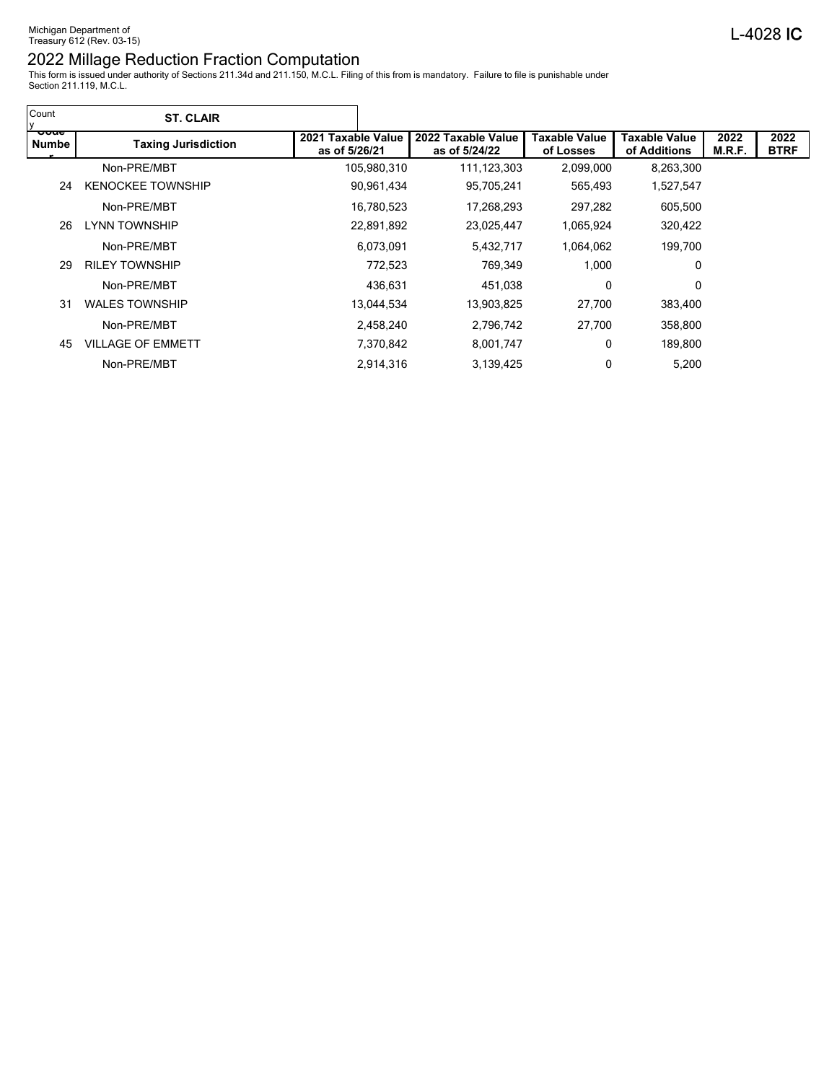| Count<br>IV.          | <b>ST. CLAIR</b>           |                                     |                                     |                            |                               |                |                     |
|-----------------------|----------------------------|-------------------------------------|-------------------------------------|----------------------------|-------------------------------|----------------|---------------------|
| <u>-coae</u><br>Numbe | <b>Taxing Jurisdiction</b> | 2021 Taxable Value<br>as of 5/26/21 | 2022 Taxable Value<br>as of 5/24/22 | Taxable Value<br>of Losses | Taxable Value<br>of Additions | 2022<br>M.R.F. | 2022<br><b>BTRF</b> |
|                       | Non-PRE/MBT                | 105,980,310                         | 111,123,303                         | 2,099,000                  | 8,263,300                     |                |                     |
| 24                    | <b>KENOCKEE TOWNSHIP</b>   | 90,961,434                          | 95,705,241                          | 565,493                    | 1,527,547                     |                |                     |
|                       | Non-PRE/MBT                | 16,780,523                          | 17,268,293                          | 297,282                    | 605,500                       |                |                     |
| 26                    | <b>LYNN TOWNSHIP</b>       | 22,891,892                          | 23,025,447                          | 1,065,924                  | 320,422                       |                |                     |
|                       | Non-PRE/MBT                | 6.073.091                           | 5,432,717                           | 1,064,062                  | 199.700                       |                |                     |
| 29                    | <b>RILEY TOWNSHIP</b>      | 772,523                             | 769,349                             | 1,000                      | 0                             |                |                     |
|                       | Non-PRE/MBT                | 436,631                             | 451,038                             | 0                          | 0                             |                |                     |
| 31                    | <b>WALES TOWNSHIP</b>      | 13,044,534                          | 13,903,825                          | 27,700                     | 383,400                       |                |                     |
|                       | Non-PRE/MBT                | 2,458,240                           | 2,796,742                           | 27,700                     | 358,800                       |                |                     |
| 45                    | <b>VILLAGE OF EMMETT</b>   | 7,370,842                           | 8,001,747                           | 0                          | 189,800                       |                |                     |
|                       | Non-PRE/MBT                | 2,914,316                           | 3,139,425                           | 0                          | 5,200                         |                |                     |